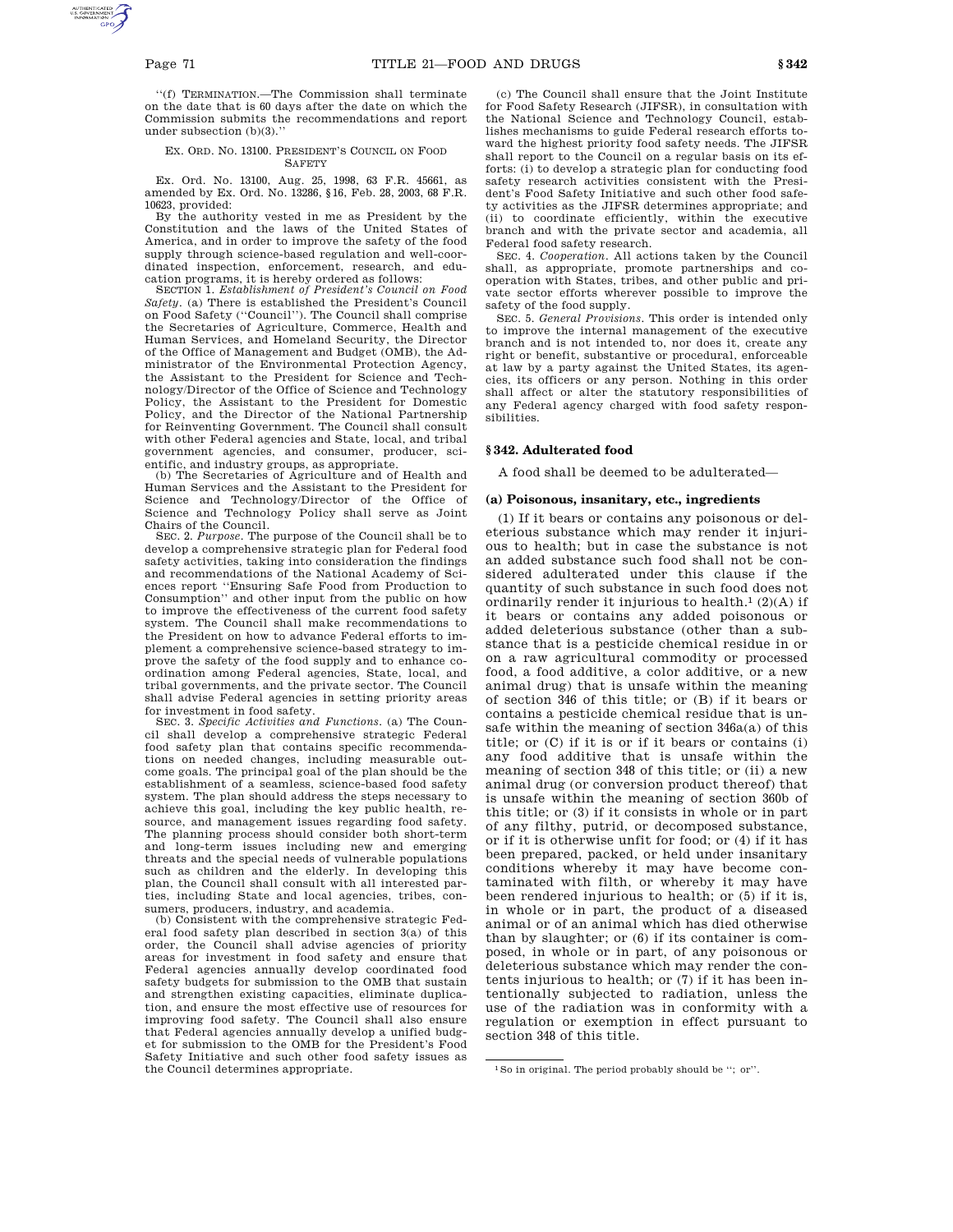''(f) TERMINATION.—The Commission shall terminate on the date that is 60 days after the date on which the Commission submits the recommendations and report under subsection (b)(3).''

### EX. ORD. NO. 13100. PRESIDENT'S COUNCIL ON FOOD **SAFETY**

Ex. Ord. No. 13100, Aug. 25, 1998, 63 F.R. 45661, as amended by Ex. Ord. No. 13286, §16, Feb. 28, 2003, 68 F.R. 10623, provided:

By the authority vested in me as President by the Constitution and the laws of the United States of America, and in order to improve the safety of the food supply through science-based regulation and well-coordinated inspection, enforcement, research, and education programs, it is hereby ordered as follows:

SECTION 1. *Establishment of President's Council on Food Safety*. (a) There is established the President's Council on Food Safety (''Council''). The Council shall comprise the Secretaries of Agriculture, Commerce, Health and Human Services, and Homeland Security, the Director of the Office of Management and Budget (OMB), the Administrator of the Environmental Protection Agency, the Assistant to the President for Science and Technology/Director of the Office of Science and Technology Policy, the Assistant to the President for Domestic Policy, and the Director of the National Partnership for Reinventing Government. The Council shall consult with other Federal agencies and State, local, and tribal government agencies, and consumer, producer, scientific, and industry groups, as appropriate.

(b) The Secretaries of Agriculture and of Health and Human Services and the Assistant to the President for Science and Technology/Director of the Office of Science and Technology Policy shall serve as Joint Chairs of the Council.

SEC. 2. *Purpose*. The purpose of the Council shall be to develop a comprehensive strategic plan for Federal food safety activities, taking into consideration the findings and recommendations of the National Academy of Sciences report ''Ensuring Safe Food from Production to Consumption'' and other input from the public on how to improve the effectiveness of the current food safety system. The Council shall make recommendations to the President on how to advance Federal efforts to implement a comprehensive science-based strategy to improve the safety of the food supply and to enhance coordination among Federal agencies, State, local, and tribal governments, and the private sector. The Council shall advise Federal agencies in setting priority areas for investment in food safety.

SEC. 3. *Specific Activities and Functions*. (a) The Council shall develop a comprehensive strategic Federal food safety plan that contains specific recommendations on needed changes, including measurable outcome goals. The principal goal of the plan should be the establishment of a seamless, science-based food safety system. The plan should address the steps necessary to achieve this goal, including the key public health, resource, and management issues regarding food safety. The planning process should consider both short-term and long-term issues including new and emerging threats and the special needs of vulnerable populations such as children and the elderly. In developing this plan, the Council shall consult with all interested parties, including State and local agencies, tribes, consumers, producers, industry, and academia.

(b) Consistent with the comprehensive strategic Federal food safety plan described in section 3(a) of this order, the Council shall advise agencies of priority areas for investment in food safety and ensure that Federal agencies annually develop coordinated food safety budgets for submission to the OMB that sustain and strengthen existing capacities, eliminate duplication, and ensure the most effective use of resources for improving food safety. The Council shall also ensure that Federal agencies annually develop a unified budget for submission to the OMB for the President's Food Safety Initiative and such other food safety issues as the Council determines appropriate.

(c) The Council shall ensure that the Joint Institute for Food Safety Research (JIFSR), in consultation with the National Science and Technology Council, establishes mechanisms to guide Federal research efforts toward the highest priority food safety needs. The JIFSR shall report to the Council on a regular basis on its efforts: (i) to develop a strategic plan for conducting food safety research activities consistent with the President's Food Safety Initiative and such other food safety activities as the JIFSR determines appropriate; and (ii) to coordinate efficiently, within the executive branch and with the private sector and academia, all Federal food safety research.

SEC. 4. *Cooperation*. All actions taken by the Council shall, as appropriate, promote partnerships and cooperation with States, tribes, and other public and private sector efforts wherever possible to improve the safety of the food supply.

SEC. 5. *General Provisions*. This order is intended only to improve the internal management of the executive branch and is not intended to, nor does it, create any right or benefit, substantive or procedural, enforceable at law by a party against the United States, its agencies, its officers or any person. Nothing in this order shall affect or alter the statutory responsibilities of any Federal agency charged with food safety responsibilities.

### **§ 342. Adulterated food**

A food shall be deemed to be adulterated—

### **(a) Poisonous, insanitary, etc., ingredients**

(1) If it bears or contains any poisonous or deleterious substance which may render it injurious to health; but in case the substance is not an added substance such food shall not be considered adulterated under this clause if the quantity of such substance in such food does not ordinarily render it injurious to health.<sup>1</sup> (2)(A) if it bears or contains any added poisonous or added deleterious substance (other than a substance that is a pesticide chemical residue in or on a raw agricultural commodity or processed food, a food additive, a color additive, or a new animal drug) that is unsafe within the meaning of section 346 of this title; or (B) if it bears or contains a pesticide chemical residue that is unsafe within the meaning of section 346a(a) of this title; or (C) if it is or if it bears or contains (i) any food additive that is unsafe within the meaning of section 348 of this title; or (ii) a new animal drug (or conversion product thereof) that is unsafe within the meaning of section 360b of this title; or (3) if it consists in whole or in part of any filthy, putrid, or decomposed substance, or if it is otherwise unfit for food; or (4) if it has been prepared, packed, or held under insanitary conditions whereby it may have become contaminated with filth, or whereby it may have been rendered injurious to health; or (5) if it is, in whole or in part, the product of a diseased animal or of an animal which has died otherwise than by slaughter; or (6) if its container is composed, in whole or in part, of any poisonous or deleterious substance which may render the contents injurious to health; or (7) if it has been intentionally subjected to radiation, unless the use of the radiation was in conformity with a regulation or exemption in effect pursuant to section 348 of this title.

<sup>1</sup>So in original. The period probably should be ''; or''.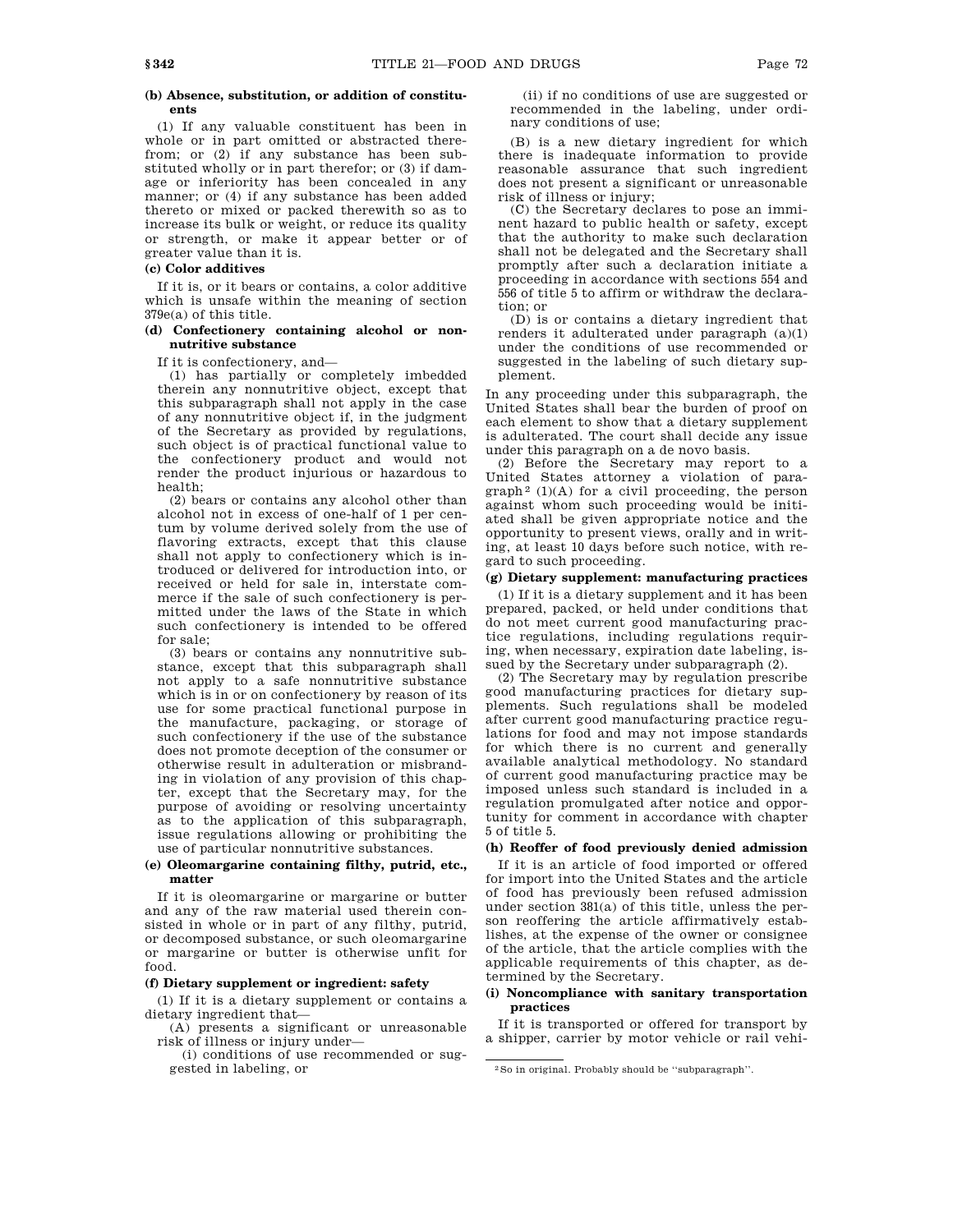### **(b) Absence, substitution, or addition of constituents**

(1) If any valuable constituent has been in whole or in part omitted or abstracted therefrom; or (2) if any substance has been substituted wholly or in part therefor; or (3) if damage or inferiority has been concealed in any manner; or (4) if any substance has been added thereto or mixed or packed therewith so as to increase its bulk or weight, or reduce its quality or strength, or make it appear better or of greater value than it is.

## **(c) Color additives**

If it is, or it bears or contains, a color additive which is unsafe within the meaning of section 379e(a) of this title.

# **(d) Confectionery containing alcohol or nonnutritive substance**

If it is confectionery, and—

(1) has partially or completely imbedded therein any nonnutritive object, except that this subparagraph shall not apply in the case of any nonnutritive object if, in the judgment of the Secretary as provided by regulations, such object is of practical functional value to the confectionery product and would not render the product injurious or hazardous to health;

(2) bears or contains any alcohol other than alcohol not in excess of one-half of 1 per centum by volume derived solely from the use of flavoring extracts, except that this clause shall not apply to confectionery which is introduced or delivered for introduction into, or received or held for sale in, interstate commerce if the sale of such confectionery is permitted under the laws of the State in which such confectionery is intended to be offered for sale;

(3) bears or contains any nonnutritive substance, except that this subparagraph shall not apply to a safe nonnutritive substance which is in or on confectionery by reason of its use for some practical functional purpose in the manufacture, packaging, or storage of such confectionery if the use of the substance does not promote deception of the consumer or otherwise result in adulteration or misbranding in violation of any provision of this chapter, except that the Secretary may, for the purpose of avoiding or resolving uncertainty as to the application of this subparagraph, issue regulations allowing or prohibiting the use of particular nonnutritive substances.

### **(e) Oleomargarine containing filthy, putrid, etc., matter**

If it is oleomargarine or margarine or butter and any of the raw material used therein consisted in whole or in part of any filthy, putrid, or decomposed substance, or such oleomargarine or margarine or butter is otherwise unfit for food.

## **(f) Dietary supplement or ingredient: safety**

(1) If it is a dietary supplement or contains a dietary ingredient that—

(A) presents a significant or unreasonable risk of illness or injury under—

(i) conditions of use recommended or suggested in labeling, or

(ii) if no conditions of use are suggested or recommended in the labeling, under ordinary conditions of use;

(B) is a new dietary ingredient for which there is inadequate information to provide reasonable assurance that such ingredient does not present a significant or unreasonable risk of illness or injury;

(C) the Secretary declares to pose an imminent hazard to public health or safety, except that the authority to make such declaration shall not be delegated and the Secretary shall promptly after such a declaration initiate a proceeding in accordance with sections 554 and 556 of title 5 to affirm or withdraw the declaration; or

(D) is or contains a dietary ingredient that renders it adulterated under paragraph (a)(1) under the conditions of use recommended or suggested in the labeling of such dietary supplement.

In any proceeding under this subparagraph, the United States shall bear the burden of proof on each element to show that a dietary supplement is adulterated. The court shall decide any issue under this paragraph on a de novo basis.

(2) Before the Secretary may report to a United States attorney a violation of para $graph<sup>2</sup>$  (1)(A) for a civil proceeding, the person against whom such proceeding would be initiated shall be given appropriate notice and the opportunity to present views, orally and in writing, at least 10 days before such notice, with regard to such proceeding.

### **(g) Dietary supplement: manufacturing practices**

(1) If it is a dietary supplement and it has been prepared, packed, or held under conditions that do not meet current good manufacturing practice regulations, including regulations requiring, when necessary, expiration date labeling, issued by the Secretary under subparagraph (2).

(2) The Secretary may by regulation prescribe good manufacturing practices for dietary supplements. Such regulations shall be modeled after current good manufacturing practice regulations for food and may not impose standards for which there is no current and generally available analytical methodology. No standard of current good manufacturing practice may be imposed unless such standard is included in a regulation promulgated after notice and opportunity for comment in accordance with chapter 5 of title 5.

# **(h) Reoffer of food previously denied admission**

If it is an article of food imported or offered for import into the United States and the article of food has previously been refused admission under section 381(a) of this title, unless the person reoffering the article affirmatively establishes, at the expense of the owner or consignee of the article, that the article complies with the applicable requirements of this chapter, as determined by the Secretary.

## **(i) Noncompliance with sanitary transportation practices**

If it is transported or offered for transport by a shipper, carrier by motor vehicle or rail vehi-

<sup>2</sup>So in original. Probably should be ''subparagraph''.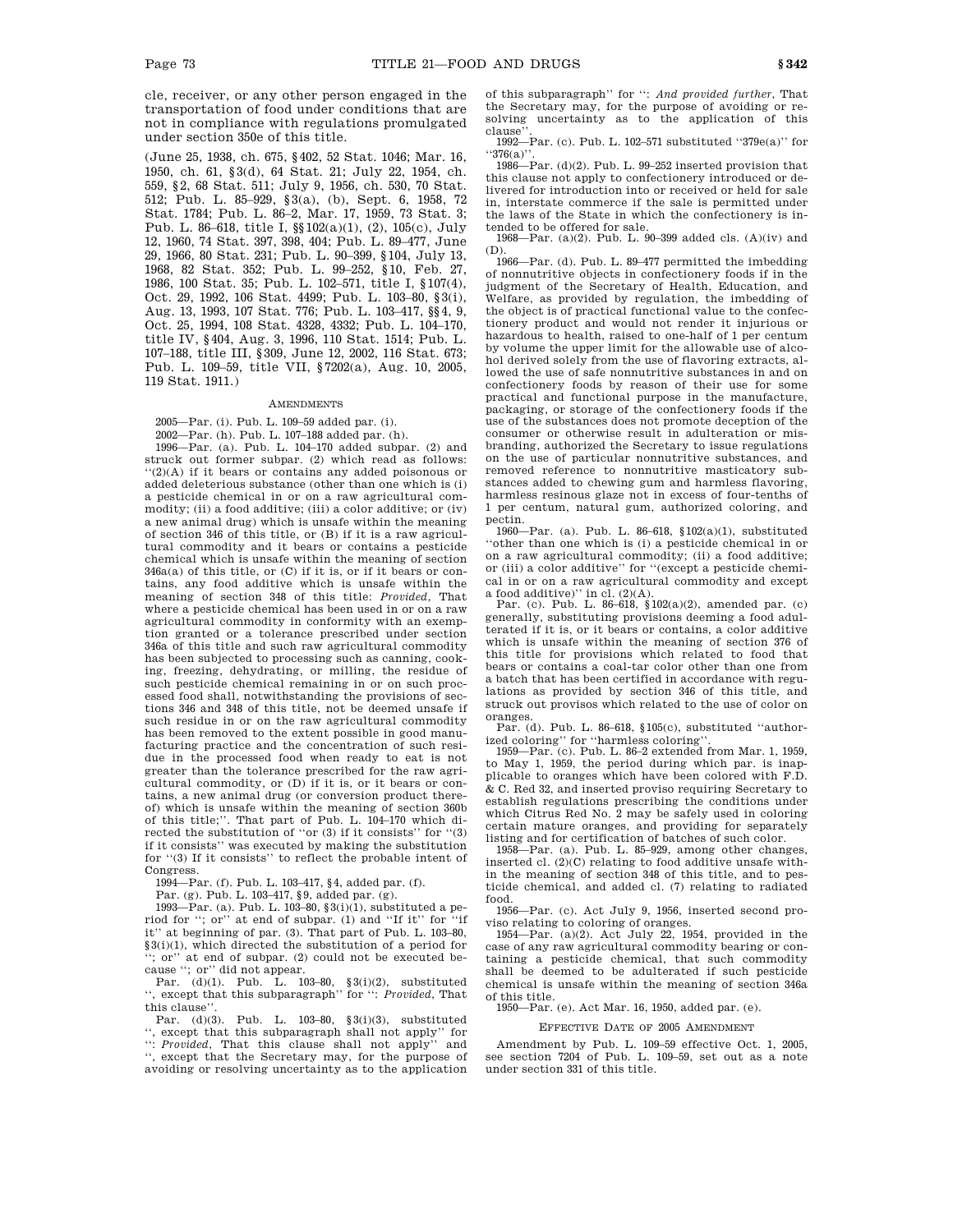cle, receiver, or any other person engaged in the transportation of food under conditions that are not in compliance with regulations promulgated under section 350e of this title.

(June 25, 1938, ch. 675, §402, 52 Stat. 1046; Mar. 16, 1950, ch. 61, §3(d), 64 Stat. 21; July 22, 1954, ch. 559, §2, 68 Stat. 511; July 9, 1956, ch. 530, 70 Stat. 512; Pub. L. 85–929, §3(a), (b), Sept. 6, 1958, 72 Stat. 1784; Pub. L. 86–2, Mar. 17, 1959, 73 Stat. 3; Pub. L. 86–618, title I, §§102(a)(1), (2), 105(c), July 12, 1960, 74 Stat. 397, 398, 404; Pub. L. 89–477, June 29, 1966, 80 Stat. 231; Pub. L. 90–399, §104, July 13, 1968, 82 Stat. 352; Pub. L. 99–252, §10, Feb. 27, 1986, 100 Stat. 35; Pub. L. 102–571, title I, §107(4), Oct. 29, 1992, 106 Stat. 4499; Pub. L. 103–80, §3(i), Aug. 13, 1993, 107 Stat. 776; Pub. L. 103–417, §§4, 9, Oct. 25, 1994, 108 Stat. 4328, 4332; Pub. L. 104–170, title IV, §404, Aug. 3, 1996, 110 Stat. 1514; Pub. L. 107–188, title III, §309, June 12, 2002, 116 Stat. 673; Pub. L. 109–59, title VII, §7202(a), Aug. 10, 2005, 119 Stat. 1911.)

#### **AMENDMENTS**

2005—Par. (i). Pub. L. 109–59 added par. (i). 2002—Par. (h). Pub. L. 107–188 added par. (h).

1996—Par. (a). Pub. L. 104–170 added subpar. (2) and struck out former subpar. (2) which read as follows: ''(2)(A) if it bears or contains any added poisonous or added deleterious substance (other than one which is (i) a pesticide chemical in or on a raw agricultural commodity; (ii) a food additive; (iii) a color additive; or (iv) a new animal drug) which is unsafe within the meaning of section 346 of this title, or (B) if it is a raw agricultural commodity and it bears or contains a pesticide chemical which is unsafe within the meaning of section  $346a(a)$  of this title, or (C) if it is, or if it bears or contains, any food additive which is unsafe within the meaning of section 348 of this title: *Provided*, That where a pesticide chemical has been used in or on a raw agricultural commodity in conformity with an exemption granted or a tolerance prescribed under section 346a of this title and such raw agricultural commodity has been subjected to processing such as canning, cooking, freezing, dehydrating, or milling, the residue of such pesticide chemical remaining in or on such processed food shall, notwithstanding the provisions of sections 346 and 348 of this title, not be deemed unsafe if such residue in or on the raw agricultural commodity has been removed to the extent possible in good manufacturing practice and the concentration of such residue in the processed food when ready to eat is not greater than the tolerance prescribed for the raw agricultural commodity, or (D) if it is, or it bears or contains, a new animal drug (or conversion product thereof) which is unsafe within the meaning of section 360b of this title;''. That part of Pub. L. 104–170 which directed the substitution of ''or (3) if it consists'' for ''(3) if it consists'' was executed by making the substitution for ''(3) If it consists'' to reflect the probable intent of Congress.

1994—Par. (f). Pub. L. 103–417, §4, added par. (f).

Par. (g). Pub. L. 103–417, §9, added par. (g).

1993—Par. (a). Pub. L. 103–80,  $\S 3(i)(1)$ , substituted a period for ''; or'' at end of subpar. (1) and ''If it'' for ''if it'' at beginning of par. (3). That part of Pub. L. 103–80, §3(i)(1), which directed the substitution of a period for ''; or'' at end of subpar. (2) could not be executed because ''; or'' did not appear.

Par. (d)(1). Pub. L. 103–80, §3(i)(2), substituted '', except that this subparagraph'' for '': *Provided*, That this clause''.

Par. (d)(3). Pub. L. 103–80, §3(i)(3), substituted '', except that this subparagraph shall not apply'' for '': *Provided*, That this clause shall not apply'' and '', except that the Secretary may, for the purpose of avoiding or resolving uncertainty as to the application

of this subparagraph'' for '': *And provided further*, That the Secretary may, for the purpose of avoiding or resolving uncertainty as to the application of this clause

1992—Par. (c). Pub. L. 102–571 substituted ''379e(a)'' for  $``376(a)"$ 

 $1986$ —Par. (d)(2). Pub. L. 99–252 inserted provision that this clause not apply to confectionery introduced or delivered for introduction into or received or held for sale in, interstate commerce if the sale is permitted under the laws of the State in which the confectionery is intended to be offered for sale.

1968—Par. (a)(2). Pub. L. 90–399 added cls. (A)(iv) and (D).

1966—Par. (d). Pub. L. 89–477 permitted the imbedding of nonnutritive objects in confectionery foods if in the judgment of the Secretary of Health, Education, and Welfare, as provided by regulation, the imbedding of the object is of practical functional value to the confectionery product and would not render it injurious or hazardous to health, raised to one-half of 1 per centum by volume the upper limit for the allowable use of alcohol derived solely from the use of flavoring extracts, allowed the use of safe nonnutritive substances in and on confectionery foods by reason of their use for some practical and functional purpose in the manufacture, packaging, or storage of the confectionery foods if the use of the substances does not promote deception of the consumer or otherwise result in adulteration or misbranding, authorized the Secretary to issue regulations on the use of particular nonnutritive substances, and removed reference to nonnutritive masticatory substances added to chewing gum and harmless flavoring, harmless resinous glaze not in excess of four-tenths of 1 per centum, natural gum, authorized coloring, and pectin.

1960—Par. (a). Pub. L. 86–618, §102(a)(1), substituted ''other than one which is (i) a pesticide chemical in or on a raw agricultural commodity; (ii) a food additive; or (iii) a color additive'' for ''(except a pesticide chemical in or on a raw agricultural commodity and except

a food additive)'' in cl. (2)(A). Par. (c). Pub. L. 86–618, §102(a)(2), amended par. (c) generally, substituting provisions deeming a food adulterated if it is, or it bears or contains, a color additive which is unsafe within the meaning of section 376 of this title for provisions which related to food that bears or contains a coal-tar color other than one from a batch that has been certified in accordance with regulations as provided by section 346 of this title, and struck out provisos which related to the use of color on oranges.

Par. (d). Pub. L. 86–618, §105(c), substituted ''authorized coloring'' for ''harmless coloring''.

1959—Par. (c). Pub. L. 86–2 extended from Mar. 1, 1959, to May 1, 1959, the period during which par. is inapplicable to oranges which have been colored with F.D. & C. Red 32, and inserted proviso requiring Secretary to establish regulations prescribing the conditions under which Citrus Red No. 2 may be safely used in coloring certain mature oranges, and providing for separately listing and for certification of batches of such color.

1958—Par. (a). Pub. L. 85–929, among other changes, inserted cl.  $(2)(C)$  relating to food additive unsafe within the meaning of section 348 of this title, and to pesticide chemical, and added cl. (7) relating to radiated food.

1956—Par. (c). Act July 9, 1956, inserted second proviso relating to coloring of oranges.

1954—Par. (a)(2). Act July 22, 1954, provided in the case of any raw agricultural commodity bearing or containing a pesticide chemical, that such commodity shall be deemed to be adulterated if such pesticide chemical is unsafe within the meaning of section 346a

of this title. 1950—Par. (e). Act Mar. 16, 1950, added par. (e).

#### EFFECTIVE DATE OF 2005 AMENDMENT

Amendment by Pub. L. 109–59 effective Oct. 1, 2005, see section 7204 of Pub. L. 109–59, set out as a note under section 331 of this title.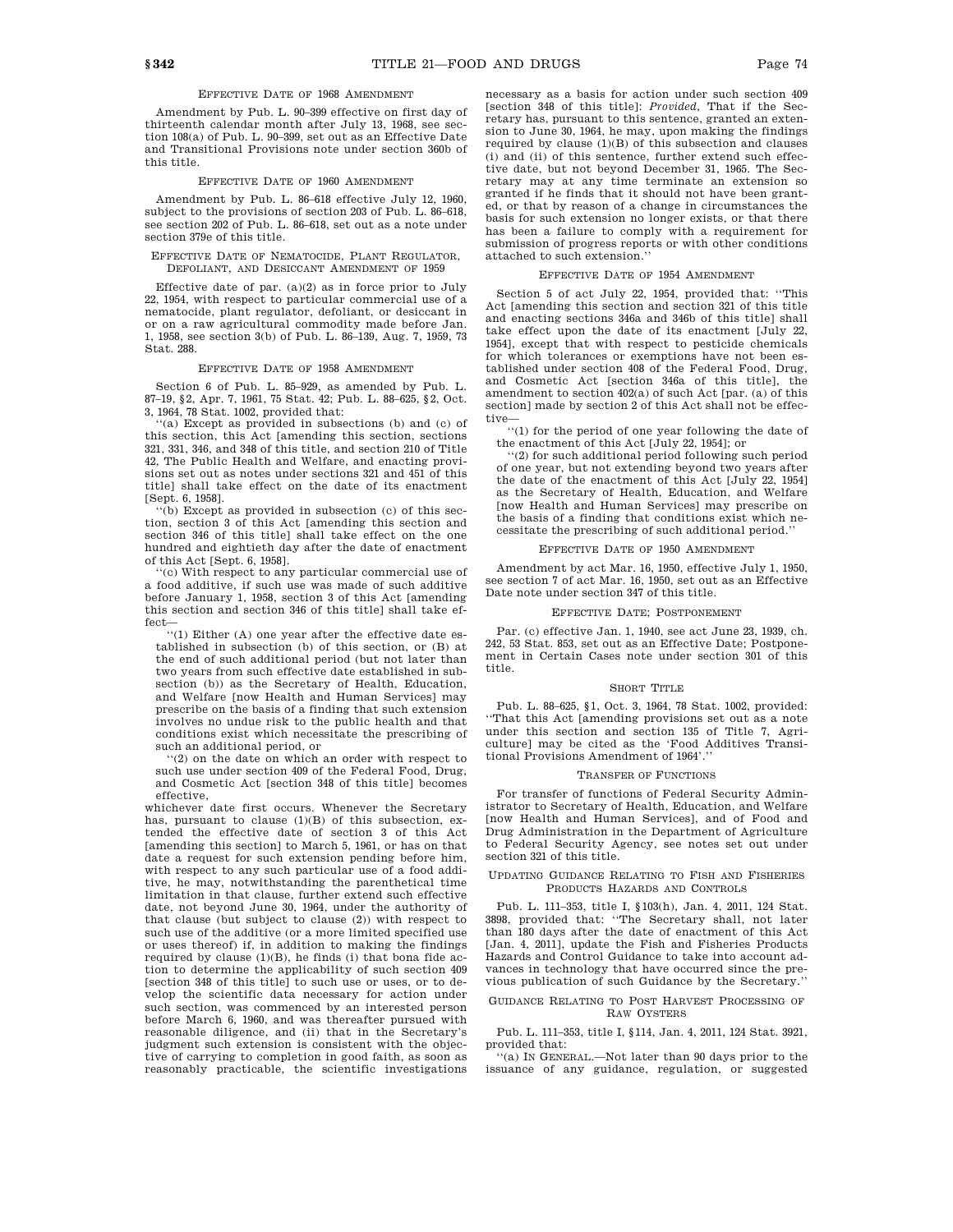### EFFECTIVE DATE OF 1968 AMENDMENT

Amendment by Pub. L. 90–399 effective on first day of thirteenth calendar month after July 13, 1968, see section 108(a) of Pub. L. 90–399, set out as an Effective Date and Transitional Provisions note under section 360b of this title.

### EFFECTIVE DATE OF 1960 AMENDMENT

Amendment by Pub. L. 86–618 effective July 12, 1960, subject to the provisions of section 203 of Pub. L. 86–618, see section 202 of Pub. L. 86–618, set out as a note under section 379e of this title.

### EFFECTIVE DATE OF NEMATOCIDE, PLANT REGULATOR, DEFOLIANT, AND DESICCANT AMENDMENT OF 1959

Effective date of par.  $(a)(2)$  as in force prior to July 22, 1954, with respect to particular commercial use of a nematocide, plant regulator, defoliant, or desiccant in or on a raw agricultural commodity made before Jan. 1, 1958, see section 3(b) of Pub. L. 86–139, Aug. 7, 1959, 73 Stat. 288.

#### EFFECTIVE DATE OF 1958 AMENDMENT

Section 6 of Pub. L. 85–929, as amended by Pub. L. 87–19, §2, Apr. 7, 1961, 75 Stat. 42; Pub. L. 88–625, §2, Oct. 3, 1964, 78 Stat. 1002, provided that:

''(a) Except as provided in subsections (b) and (c) of this section, this Act [amending this section, sections 321, 331, 346, and 348 of this title, and section 210 of Title 42, The Public Health and Welfare, and enacting provisions set out as notes under sections 321 and 451 of this title] shall take effect on the date of its enactment [Sept. 6, 1958].

''(b) Except as provided in subsection (c) of this section, section 3 of this Act [amending this section and section 346 of this titlel shall take effect on the one hundred and eightieth day after the date of enactment of this Act [Sept. 6, 1958].

''(c) With respect to any particular commercial use of a food additive, if such use was made of such additive before January 1, 1958, section 3 of this Act [amending this section and section 346 of this title] shall take ef-

fect—<br>''(1) Either (A) one year after the effective date established in subsection (b) of this section, or (B) at the end of such additional period (but not later than two years from such effective date established in subsection (b)) as the Secretary of Health, Education, and Welfare [now Health and Human Services] may prescribe on the basis of a finding that such extension involves no undue risk to the public health and that conditions exist which necessitate the prescribing of such an additional period, or

''(2) on the date on which an order with respect to such use under section 409 of the Federal Food, Drug, and Cosmetic Act [section 348 of this title] becomes effective,

whichever date first occurs. Whenever the Secretary has, pursuant to clause (1)(B) of this subsection, extended the effective date of section 3 of this Act [amending this section] to March 5, 1961, or has on that date a request for such extension pending before him, with respect to any such particular use of a food additive, he may, notwithstanding the parenthetical time limitation in that clause, further extend such effective date, not beyond June 30, 1964, under the authority of that clause (but subject to clause (2)) with respect to such use of the additive (or a more limited specified use or uses thereof) if, in addition to making the findings required by clause  $(1)(B)$ , he finds (i) that bona fide action to determine the applicability of such section 409 [section 348 of this title] to such use or uses, or to develop the scientific data necessary for action under such section, was commenced by an interested person before March 6, 1960, and was thereafter pursued with reasonable diligence, and (ii) that in the Secretary's judgment such extension is consistent with the objective of carrying to completion in good faith, as soon as reasonably practicable, the scientific investigations necessary as a basis for action under such section 409 [section 348 of this title]: *Provided*, That if the Secretary has, pursuant to this sentence, granted an extension to June 30, 1964, he may, upon making the findings required by clause (1)(B) of this subsection and clauses (i) and (ii) of this sentence, further extend such effective date, but not beyond December 31, 1965. The Secretary may at any time terminate an extension so granted if he finds that it should not have been granted, or that by reason of a change in circumstances the basis for such extension no longer exists, or that there has been a failure to comply with a requirement for submission of progress reports or with other conditions attached to such extension.''

### EFFECTIVE DATE OF 1954 AMENDMENT

Section 5 of act July 22, 1954, provided that: ''This Act [amending this section and section 321 of this title and enacting sections 346a and 346b of this title] shall take effect upon the date of its enactment [July 22, 1954], except that with respect to pesticide chemicals for which tolerances or exemptions have not been established under section 408 of the Federal Food, Drug, and Cosmetic Act [section 346a of this title], the amendment to section 402(a) of such Act [par. (a) of this section] made by section 2 of this Act shall not be effective

''(1) for the period of one year following the date of the enactment of this Act [July 22, 1954]; or

''(2) for such additional period following such period of one year, but not extending beyond two years after the date of the enactment of this Act [July 22, 1954] as the Secretary of Health, Education, and Welfare [now Health and Human Services] may prescribe on the basis of a finding that conditions exist which necessitate the prescribing of such additional period.''

### EFFECTIVE DATE OF 1950 AMENDMENT

Amendment by act Mar. 16, 1950, effective July 1, 1950, see section 7 of act Mar. 16, 1950, set out as an Effective Date note under section 347 of this title.

#### EFFECTIVE DATE; POSTPONEMENT

Par. (c) effective Jan. 1, 1940, see act June 23, 1939, ch. 242, 53 Stat. 853, set out as an Effective Date; Postponement in Certain Cases note under section 301 of this title.

## SHORT TITLE

Pub. L. 88–625, §1, Oct. 3, 1964, 78 Stat. 1002, provided: ''That this Act [amending provisions set out as a note under this section and section 135 of Title 7, Agriculture] may be cited as the 'Food Additives Transitional Provisions Amendment of 1964'.

#### TRANSFER OF FUNCTIONS

For transfer of functions of Federal Security Administrator to Secretary of Health, Education, and Welfare [now Health and Human Services], and of Food and Drug Administration in the Department of Agriculture to Federal Security Agency, see notes set out under section 321 of this title.

#### UPDATING GUIDANCE RELATING TO FISH AND FISHERIES PRODUCTS HAZARDS AND CONTROLS

Pub. L. 111–353, title I, §103(h), Jan. 4, 2011, 124 Stat. 3898, provided that: ''The Secretary shall, not later than 180 days after the date of enactment of this Act [Jan. 4, 2011], update the Fish and Fisheries Products Hazards and Control Guidance to take into account advances in technology that have occurred since the previous publication of such Guidance by the Secretary.''

#### GUIDANCE RELATING TO POST HARVEST PROCESSING OF RAW OYSTERS

Pub. L. 111–353, title I, §114, Jan. 4, 2011, 124 Stat. 3921, provided that:

''(a) IN GENERAL.—Not later than 90 days prior to the issuance of any guidance, regulation, or suggested